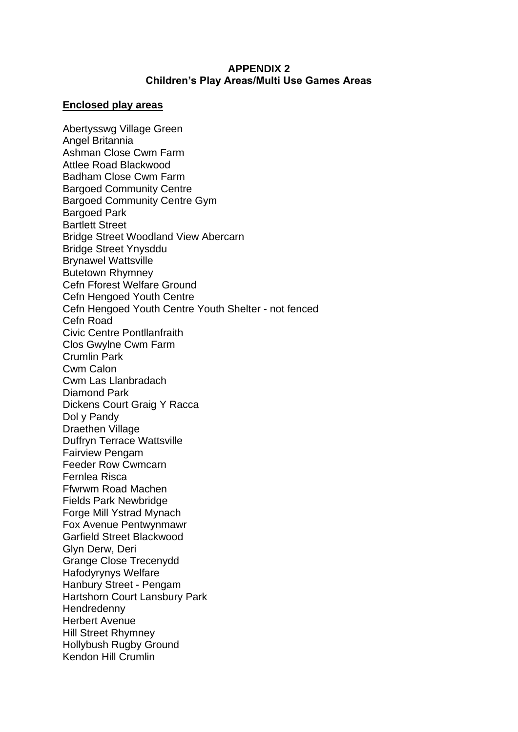## **APPENDIX 2 Children's Play Areas/Multi Use Games Areas**

## **Enclosed play areas**

Abertysswg Village Green Angel Britannia Ashman Close Cwm Farm Attlee Road Blackwood Badham Close Cwm Farm Bargoed Community Centre Bargoed Community Centre Gym Bargoed Park Bartlett Street Bridge Street Woodland View Abercarn Bridge Street Ynysddu Brynawel Wattsville Butetown Rhymney Cefn Fforest Welfare Ground Cefn Hengoed Youth Centre Cefn Hengoed Youth Centre Youth Shelter - not fenced Cefn Road Civic Centre Pontllanfraith Clos Gwylne Cwm Farm Crumlin Park Cwm Calon Cwm Las Llanbradach Diamond Park Dickens Court Graig Y Racca Dol y Pandy Draethen Village Duffryn Terrace Wattsville Fairview Pengam Feeder Row Cwmcarn Fernlea Risca Ffwrwm Road Machen Fields Park Newbridge Forge Mill Ystrad Mynach Fox Avenue Pentwynmawr Garfield Street Blackwood Glyn Derw, Deri Grange Close Trecenydd Hafodyrynys Welfare Hanbury Street - Pengam Hartshorn Court Lansbury Park **Hendredenny** Herbert Avenue Hill Street Rhymney Hollybush Rugby Ground Kendon Hill Crumlin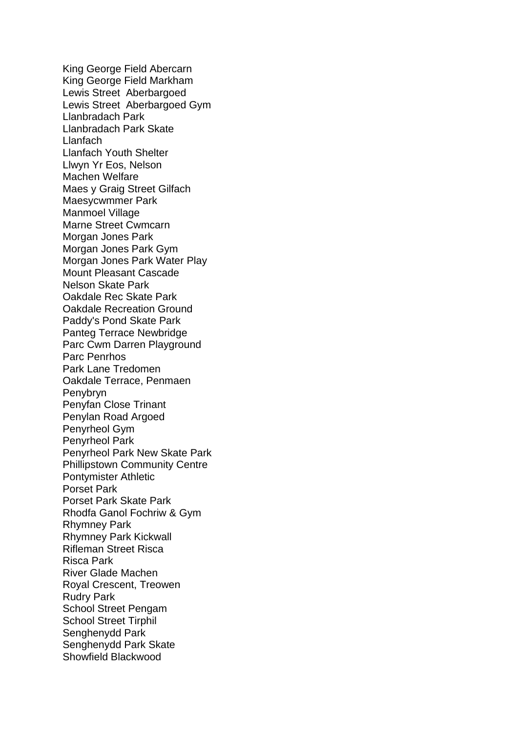King George Field Abercarn King George Field Markham Lewis Street Aberbargoed Lewis Street Aberbargoed Gym Llanbradach Park Llanbradach Park Skate Llanfach Llanfach Youth Shelter Llwyn Yr Eos, Nelson Machen Welfare Maes y Graig Street Gilfach Maesycwmmer Park Manmoel Village Marne Street Cwmcarn Morgan Jones Park Morgan Jones Park Gym Morgan Jones Park Water Play Mount Pleasant Cascade Nelson Skate Park Oakdale Rec Skate Park Oakdale Recreation Ground Paddy's Pond Skate Park Panteg Terrace Newbridge Parc Cwm Darren Playground Parc Penrhos Park Lane Tredomen Oakdale Terrace, Penmaen Penybryn Penyfan Close Trinant Penylan Road Argoed Penyrheol Gym Penyrheol Park Penyrheol Park New Skate Park Phillipstown Community Centre Pontymister Athletic Porset Park Porset Park Skate Park Rhodfa Ganol Fochriw & Gym Rhymney Park Rhymney Park Kickwall Rifleman Street Risca Risca Park River Glade Machen Royal Crescent, Treowen Rudry Park School Street Pengam School Street Tirphil Senghenydd Park Senghenydd Park Skate Showfield Blackwood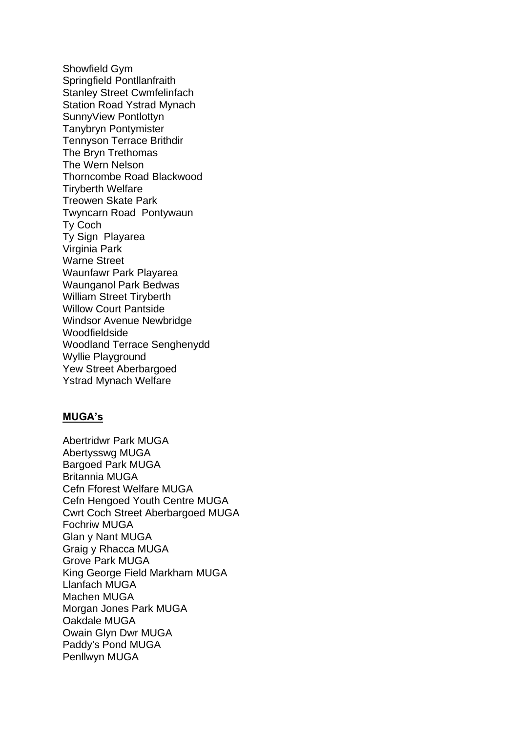Showfield Gym Springfield Pontllanfraith Stanley Street Cwmfelinfach Station Road Ystrad Mynach SunnyView Pontlottyn Tanybryn Pontymister Tennyson Terrace Brithdir The Bryn Trethomas The Wern Nelson Thorncombe Road Blackwood Tiryberth Welfare Treowen Skate Park Twyncarn Road Pontywaun Ty Coch Ty Sign Playarea Virginia Park Warne Street Waunfawr Park Playarea Waunganol Park Bedwas William Street Tiryberth Willow Court Pantside Windsor Avenue Newbridge Woodfieldside Woodland Terrace Senghenydd Wyllie Playground Yew Street Aberbargoed Ystrad Mynach Welfare

## **MUGA's**

Abertridwr Park MUGA Abertysswg MUGA Bargoed Park MUGA Britannia MUGA Cefn Fforest Welfare MUGA Cefn Hengoed Youth Centre MUGA Cwrt Coch Street Aberbargoed MUGA Fochriw MUGA Glan y Nant MUGA Graig y Rhacca MUGA Grove Park MUGA King George Field Markham MUGA Llanfach MUGA Machen MUGA Morgan Jones Park MUGA Oakdale MUGA Owain Glyn Dwr MUGA Paddy's Pond MUGA Penllwyn MUGA